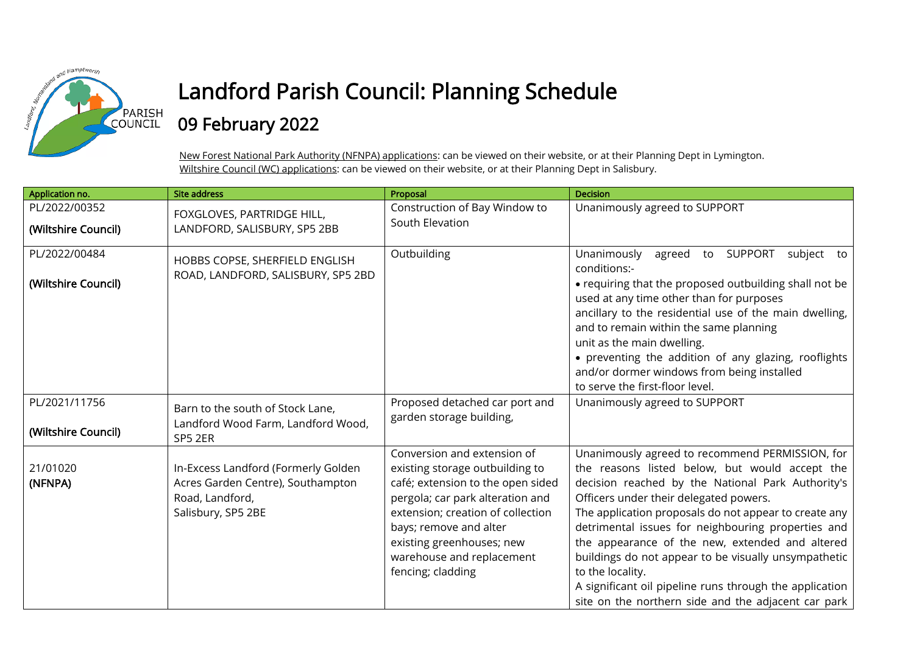

## Landford Parish Council: Planning Schedule

## 09 February 2022

New Forest National Park Authority (NFNPA) applications: can be viewed on their website, or at their Planning Dept in Lymington. Wiltshire Council (WC) applications: can be viewed on their website, or at their Planning Dept in Salisbury.

| Application no.                      | <b>Site address</b>                                                                                               | Proposal                                                                                                                                                                                                                                                                              | Decision                                                                                                                                                                                                                                                                                                                                                                                                                                                                                                                                                         |
|--------------------------------------|-------------------------------------------------------------------------------------------------------------------|---------------------------------------------------------------------------------------------------------------------------------------------------------------------------------------------------------------------------------------------------------------------------------------|------------------------------------------------------------------------------------------------------------------------------------------------------------------------------------------------------------------------------------------------------------------------------------------------------------------------------------------------------------------------------------------------------------------------------------------------------------------------------------------------------------------------------------------------------------------|
| PL/2022/00352<br>(Wiltshire Council) | FOXGLOVES, PARTRIDGE HILL,<br>LANDFORD, SALISBURY, SP5 2BB                                                        | Construction of Bay Window to<br>South Elevation                                                                                                                                                                                                                                      | Unanimously agreed to SUPPORT                                                                                                                                                                                                                                                                                                                                                                                                                                                                                                                                    |
| PL/2022/00484<br>(Wiltshire Council) | HOBBS COPSE, SHERFIELD ENGLISH<br>ROAD, LANDFORD, SALISBURY, SP5 2BD                                              | Outbuilding                                                                                                                                                                                                                                                                           | Unanimously<br><b>SUPPORT</b><br>agreed<br>subject to<br>to<br>conditions:-<br>• requiring that the proposed outbuilding shall not be<br>used at any time other than for purposes<br>ancillary to the residential use of the main dwelling,<br>and to remain within the same planning<br>unit as the main dwelling.<br>• preventing the addition of any glazing, rooflights<br>and/or dormer windows from being installed<br>to serve the first-floor level.                                                                                                     |
| PL/2021/11756<br>(Wiltshire Council) | Barn to the south of Stock Lane,<br>Landford Wood Farm, Landford Wood,<br>SP5 2ER                                 | Proposed detached car port and<br>garden storage building,                                                                                                                                                                                                                            | Unanimously agreed to SUPPORT                                                                                                                                                                                                                                                                                                                                                                                                                                                                                                                                    |
| 21/01020<br>(NFNPA)                  | In-Excess Landford (Formerly Golden<br>Acres Garden Centre), Southampton<br>Road, Landford,<br>Salisbury, SP5 2BE | Conversion and extension of<br>existing storage outbuilding to<br>café; extension to the open sided<br>pergola; car park alteration and<br>extension; creation of collection<br>bays; remove and alter<br>existing greenhouses; new<br>warehouse and replacement<br>fencing; cladding | Unanimously agreed to recommend PERMISSION, for<br>the reasons listed below, but would accept the<br>decision reached by the National Park Authority's<br>Officers under their delegated powers.<br>The application proposals do not appear to create any<br>detrimental issues for neighbouring properties and<br>the appearance of the new, extended and altered<br>buildings do not appear to be visually unsympathetic<br>to the locality.<br>A significant oil pipeline runs through the application<br>site on the northern side and the adjacent car park |